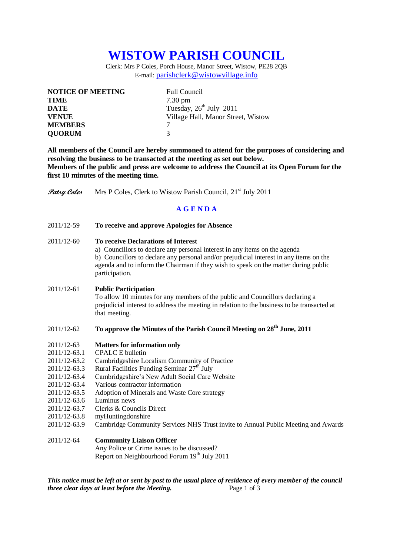# **WISTOW PARISH COUNCIL**

Clerk: Mrs P Coles, Porch House, Manor Street, Wistow, PE28 2QB E-mail: [parishclerk@wistowvillage.info](mailto:parishclerk@wistowvillage.info)

| <b>NOTICE OF MEETING</b> | <b>Full Council</b>                 |
|--------------------------|-------------------------------------|
| <b>TIME</b>              | $7.30 \text{ pm}$                   |
| <b>DATE</b>              | Tuesday, 26 <sup>th</sup> July 2011 |
| <b>VENUE</b>             | Village Hall, Manor Street, Wistow  |
| <b>MEMBERS</b>           |                                     |
| <b>QUORUM</b>            | 3                                   |

**All members of the Council are hereby summoned to attend for the purposes of considering and resolving the business to be transacted at the meeting as set out below. Members of the public and press are welcome to address the Council at its Open Forum for the first 10 minutes of the meeting time.**

Patsy Coles Mrs P Coles, Clerk to Wistow Parish Council, 21<sup>st</sup> July 2011

## **A G E N D A**

2011/12-59 **To receive and approve Apologies for Absence**

## 2011/12-60 **To receive Declarations of Interest**

a) Councillors to declare any personal interest in any items on the agenda b) Councillors to declare any personal and/or prejudicial interest in any items on the agenda and to inform the Chairman if they wish to speak on the matter during public participation.

#### 2011/12-61 **Public Participation**

To allow 10 minutes for any members of the public and Councillors declaring a prejudicial interest to address the meeting in relation to the business to be transacted at that meeting.

## 2011/12-62 **To approve the Minutes of the Parish Council Meeting on 28th June, 2011**

### 2011/12-63 **Matters for information only**

- 2011/12-63.1 CPALC E bulletin
- 2011/12-63.2 Cambridgeshire Localism Community of Practice
- 2011/12-63.3 Rural Facilities Funding Seminar  $27<sup>th</sup>$  July
- 2011/12-63.4 Cambridgeshire's New Adult Social Care Website
- 2011/12-63.4 Various contractor information
- 2011/12-63.5 Adoption of Minerals and Waste Core strategy
- 2011/12-63.6 Luminus news
- 2011/12-63.7 Clerks & Councils Direct
- 2011/12-63.8 myHuntingdonshire
- 2011/12-63.9 Cambridge Community Services NHS Trust invite to Annual Public Meeting and Awards

#### 2011/12-64 **Community Liaison Officer**

Any Police or Crime issues to be discussed? Report on Neighbourhood Forum 19<sup>th</sup> July 2011

*This notice must be left at or sent by post to the usual place of residence of every member of the council three clear days at least before the Meeting.* Page 1 of 3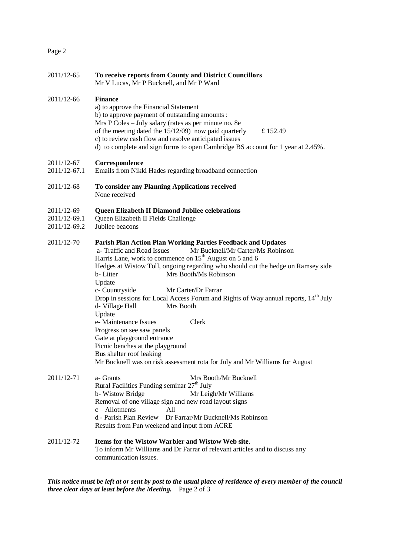## Page 2

| 2011/12-65                                 | To receive reports from County and District Councillors<br>Mr V Lucas, Mr P Bucknell, and Mr P Ward                                                                                                                                                                                                                                                                                                                                                                                                                                                                                                                                                                                                                                                                |
|--------------------------------------------|--------------------------------------------------------------------------------------------------------------------------------------------------------------------------------------------------------------------------------------------------------------------------------------------------------------------------------------------------------------------------------------------------------------------------------------------------------------------------------------------------------------------------------------------------------------------------------------------------------------------------------------------------------------------------------------------------------------------------------------------------------------------|
| 2011/12-66                                 | <b>Finance</b><br>a) to approve the Financial Statement<br>b) to approve payment of outstanding amounts :<br>Mrs P Coles - July salary (rates as per minute no. 8e<br>of the meeting dated the $15/12/09$ ) now paid quarterly<br>£ 152.49<br>c) to review cash flow and resolve anticipated issues<br>d) to complete and sign forms to open Cambridge BS account for 1 year at 2.45%.                                                                                                                                                                                                                                                                                                                                                                             |
| 2011/12-67<br>2011/12-67.1                 | Correspondence<br>Emails from Nikki Hades regarding broadband connection                                                                                                                                                                                                                                                                                                                                                                                                                                                                                                                                                                                                                                                                                           |
| 2011/12-68                                 | To consider any Planning Applications received<br>None received                                                                                                                                                                                                                                                                                                                                                                                                                                                                                                                                                                                                                                                                                                    |
| 2011/12-69<br>2011/12-69.1<br>2011/12-69.2 | Queen Elizabeth II Diamond Jubilee celebrations<br>Queen Elizabeth II Fields Challenge<br>Jubilee beacons                                                                                                                                                                                                                                                                                                                                                                                                                                                                                                                                                                                                                                                          |
| 2011/12-70                                 | Parish Plan Action Plan Working Parties Feedback and Updates<br>a-Traffic and Road Issues<br>Mr Bucknell/Mr Carter/Ms Robinson<br>Harris Lane, work to commence on $15th$ August on 5 and 6<br>Hedges at Wistow Toll, ongoing regarding who should cut the hedge on Ramsey side<br>Mrs Booth/Ms Robinson<br>b-Litter<br>Update<br>c- Countryside<br>Mr Carter/Dr Farrar<br>Drop in sessions for Local Access Forum and Rights of Way annual reports, 14 <sup>th</sup> July<br>d- Village Hall<br>Mrs Booth<br>Update<br>e- Maintenance Issues<br>Clerk<br>Progress on see saw panels<br>Gate at playground entrance<br>Picnic benches at the playground<br>Bus shelter roof leaking<br>Mr Bucknell was on risk assessment rota for July and Mr Williams for August |
| 2011/12-71                                 | Mrs Booth/Mr Bucknell<br>a- Grants<br>Rural Facilities Funding seminar 27 <sup>th</sup> July<br>b-Wistow Bridge<br>Mr Leigh/Mr Williams<br>Removal of one village sign and new road layout signs<br>$c -$ Allotments<br>A11<br>d - Parish Plan Review - Dr Farrar/Mr Bucknell/Ms Robinson<br>Results from Fun weekend and input from ACRE                                                                                                                                                                                                                                                                                                                                                                                                                          |
| 2011/12-72                                 | Items for the Wistow Warbler and Wistow Web site.<br>To inform Mr Williams and Dr Farrar of relevant articles and to discuss any<br>communication issues.                                                                                                                                                                                                                                                                                                                                                                                                                                                                                                                                                                                                          |

*This notice must be left at or sent by post to the usual place of residence of every member of the council three clear days at least before the Meeting.* Page 2 of 3